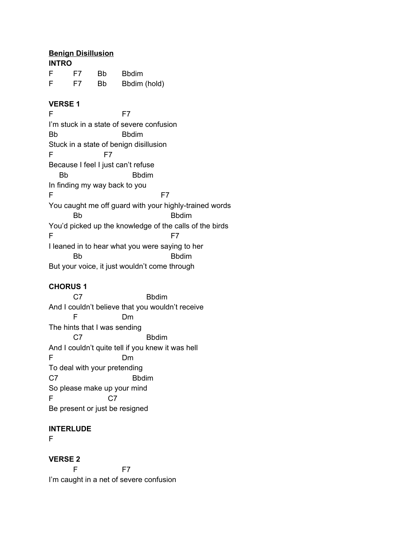## **Benign Disillusion**

| <b>INTRO</b> |    |    |              |  |
|--------------|----|----|--------------|--|
| F            | F7 | Bb | <b>Bbdim</b> |  |
| F            | F7 | Bb | Bbdim (hold) |  |

### **VERSE 1**

F F7 I'm stuck in a state of severe confusion Bb Bbdim Stuck in a state of benign disillusion F F7 Because I feel I just can't refuse Bb Bbdim In finding my way back to you F F7 You caught me off guard with your highly-trained words Bb Bbdim You'd picked up the knowledge of the calls of the birds F F7 I leaned in to hear what you were saying to her Bb Bbdim But your voice, it just wouldn't come through

## **CHORUS 1**

C7 Bbdim And I couldn't believe that you wouldn't receive F Dm The hints that I was sending C7 Bbdim And I couldn't quite tell if you knew it was hell F Dm To deal with your pretending C7 Bbdim So please make up your mind F C7 Be present or just be resigned

### **INTERLUDE**

F

**VERSE 2** F F7 I'm caught in a net of severe confusion